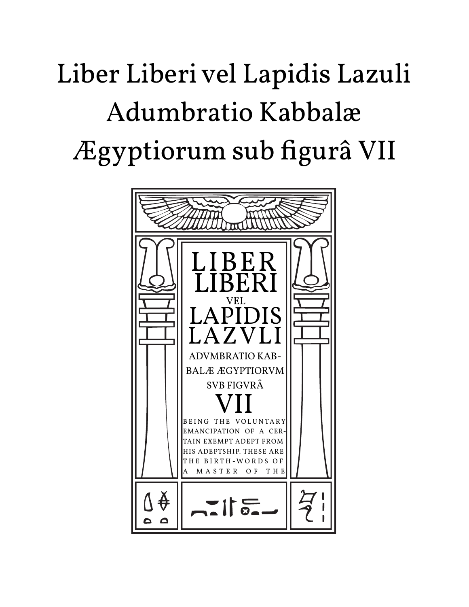# Liber Liberi vel Lapidis Lazuli Adumbratio Kabbalæ Ægyptiorum sub figurâ VII

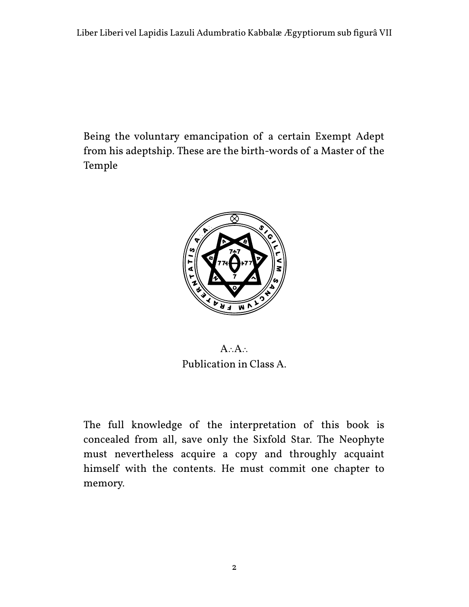Being the voluntary emancipation of a certain Exempt Adept from his adeptship. These are the birth-words of a Master of the Temple



A∴A∴ Publication in Class A.

The full knowledge of the interpretation of this book is concealed from all, save only the Sixfold Star. The Neophyte must nevertheless acquire a copy and throughly acquaint himself with the contents. He must commit one chapter to memory.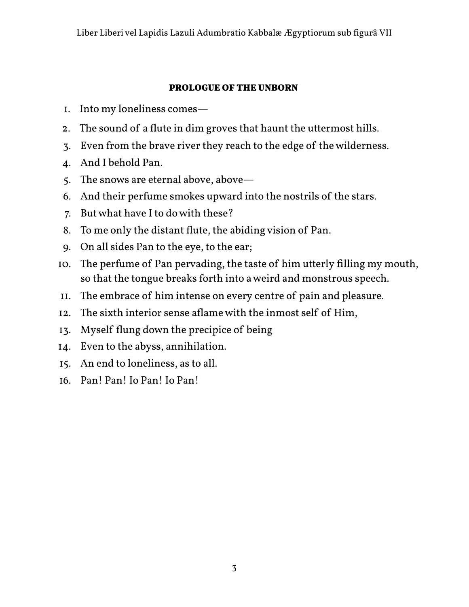#### **PROLOGUE OF THE UNBORN**

- 1. Into my loneliness comes—
- 2. The sound of a flute in dim groves that haunt the uttermost hills.
- 3. Even from the brave river they reach to the edge of the wilderness.
- 4. And I behold Pan.
- 5. The snows are eternal above, above—
- 6. And their perfume smokes upward into the nostrils of the stars.
- 7. But what have I to do with these?
- 8. To me only the distant flute, the abiding vision of Pan.
- 9. On all sides Pan to the eye, to the ear;
- 10. The perfume of Pan pervading, the taste of him utterly filling my mouth, so that the tongue breaks forth into a weird and monstrous speech.
- 11. The embrace of him intense on every centre of pain and pleasure.
- 12. The sixth interior sense aflame with the inmost self of Him,
- 13. Myself flung down the precipice of being
- 14. Even to the abyss, annihilation.
- 15. An end to loneliness, as to all.
- 16. Pan! Pan! Io Pan! Io Pan!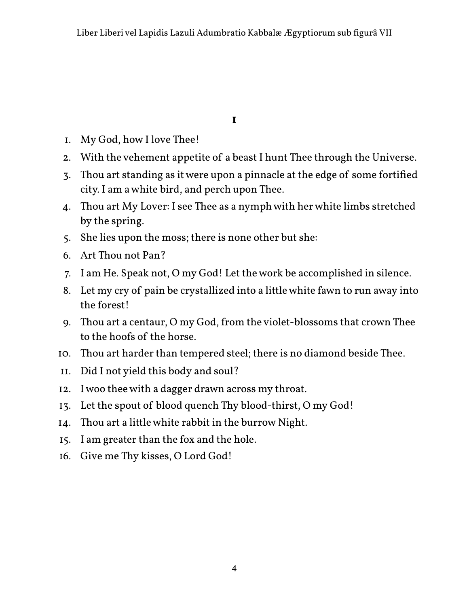**I**

- 1. My God, how I love Thee!
- 2. With the vehement appetite of a beast I hunt Thee through the Universe.
- 3. Thou art standing as it were upon a pinnacle at the edge of some fortified city. I am a white bird, and perch upon Thee.
- 4. Thou art My Lover: I see Thee as a nymph with her white limbs stretched by the spring.
- 5. She lies upon the moss; there is none other but she:
- 6. Art Thou not Pan?
- 7. I am He. Speak not, O my God! Let the work be accomplished in silence.
- 8. Let my cry of pain be crystallized into a little white fawn to run away into the forest!
- 9. Thou art a centaur, O my God, from the violet-blossoms that crown Thee to the hoofs of the horse.
- 10. Thou art harder than tempered steel; there is no diamond beside Thee.
- 11. Did I not yield this body and soul?
- 12. I woo thee with a dagger drawn across my throat.
- 13. Let the spout of blood quench Thy blood-thirst, O my God!
- 14. Thou art a little white rabbit in the burrow Night.
- 15. I am greater than the fox and the hole.
- 16. Give me Thy kisses, O Lord God!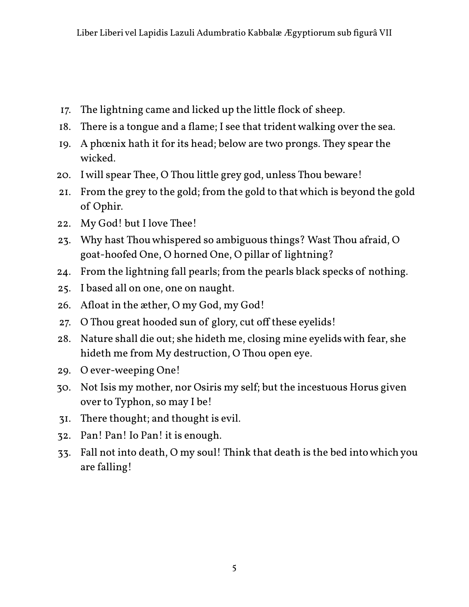- 17. The lightning came and licked up the little flock of sheep.
- 18. There is a tongue and a flame; I see that trident walking over the sea.
- 19. A phœnix hath it for its head; below are two prongs. They spear the wicked.
- 20. I will spear Thee, O Thou little grey god, unless Thou beware!
- 21. From the grey to the gold; from the gold to that which is beyond the gold of Ophir.
- 22. My God! but I love Thee!
- 23. Why hast Thou whispered so ambiguous things? Wast Thou afraid, O goat-hoofed One, O horned One, O pillar of lightning?
- 24. From the lightning fall pearls; from the pearls black specks of nothing.
- 25. I based all on one, one on naught.
- 26. Afloat in the æther, O my God, my God!
- 27. O Thou great hooded sun of glory, cut off these eyelids!
- 28. Nature shall die out; she hideth me, closing mine eyelids with fear, she hideth me from My destruction, O Thou open eye.
- 29. O ever-weeping One!
- 30. Not Isis my mother, nor Osiris my self; but the incestuous Horus given over to Typhon, so may I be!
- 31. There thought; and thought is evil.
- 32. Pan! Pan! Io Pan! it is enough.
- 33. Fall not into death, O my soul! Think that death is the bed into which you are falling!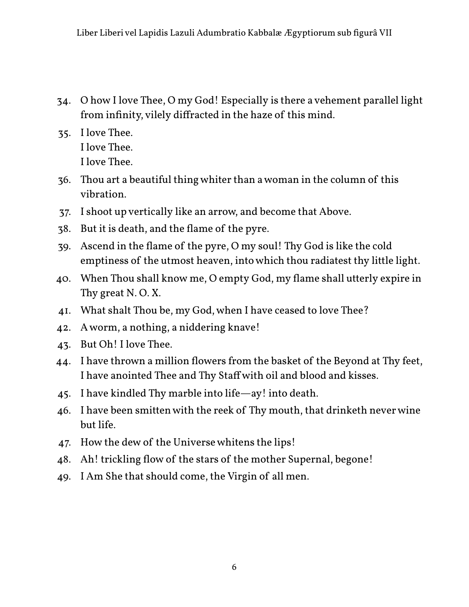- 34. O how I love Thee, O my God! Especially is there a vehement parallel light from infinity, vilely diffracted in the haze of this mind.
- 35. I love Thee. I love Thee. I love Thee.
- 36. Thou art a beautiful thing whiter than a woman in the column of this vibration.
- 37. I shoot up vertically like an arrow, and become that Above.
- 38. But it is death, and the flame of the pyre.
- 39. Ascend in the flame of the pyre, O my soul! Thy God is like the cold emptiness of the utmost heaven, into which thou radiatest thy little light.
- 40. When Thou shall know me, O empty God, my flame shall utterly expire in Thy great N. O. X.
- 41. What shalt Thou be, my God, when I have ceased to love Thee?
- 42. A worm, a nothing, a niddering knave!
- 43. But Oh! I love Thee.
- 44. I have thrown a million flowers from the basket of the Beyond at Thy feet, I have anointed Thee and Thy Staff with oil and blood and kisses.
- 45. I have kindled Thy marble into life—ay! into death.
- 46. I have been smitten with the reek of Thy mouth, that drinketh never wine but life.
- 47. How the dew of the Universe whitens the lips!
- 48. Ah! trickling flow of the stars of the mother Supernal, begone!
- 49. I Am She that should come, the Virgin of all men.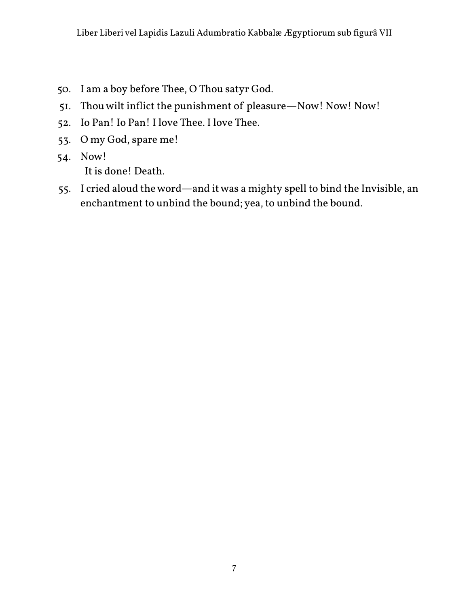- 50. I am a boy before Thee, O Thou satyr God.
- 51. Thou wilt inflict the punishment of pleasure—Now! Now! Now!
- 52. Io Pan! Io Pan! I love Thee. I love Thee.
- 53. O my God, spare me!
- 54. Now! It is done! Death.
- 55. I cried aloud the word—and it was a mighty spell to bind the Invisible, an enchantment to unbind the bound; yea, to unbind the bound.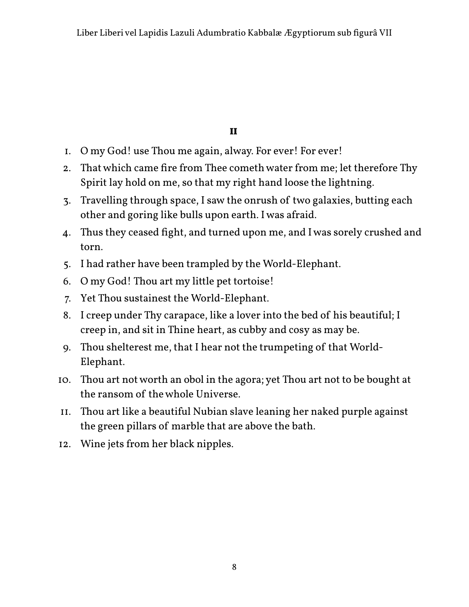**II**

- 1. O my God! use Thou me again, alway. For ever! For ever!
- 2. That which came fire from Thee cometh water from me; let therefore Thy Spirit lay hold on me, so that my right hand loose the lightning.
- 3. Travelling through space, I saw the onrush of two galaxies, butting each other and goring like bulls upon earth. I was afraid.
- 4. Thus they ceased fight, and turned upon me, and I was sorely crushed and torn.
- 5. I had rather have been trampled by the World-Elephant.
- 6. O my God! Thou art my little pet tortoise!
- 7. Yet Thou sustainest the World-Elephant.
- 8. I creep under Thy carapace, like a lover into the bed of his beautiful; I creep in, and sit in Thine heart, as cubby and cosy as may be.
- 9. Thou shelterest me, that I hear not the trumpeting of that World-Elephant.
- 10. Thou art not worth an obol in the agora; yet Thou art not to be bought at the ransom of the whole Universe.
- 11. Thou art like a beautiful Nubian slave leaning her naked purple against the green pillars of marble that are above the bath.
- 12. Wine jets from her black nipples.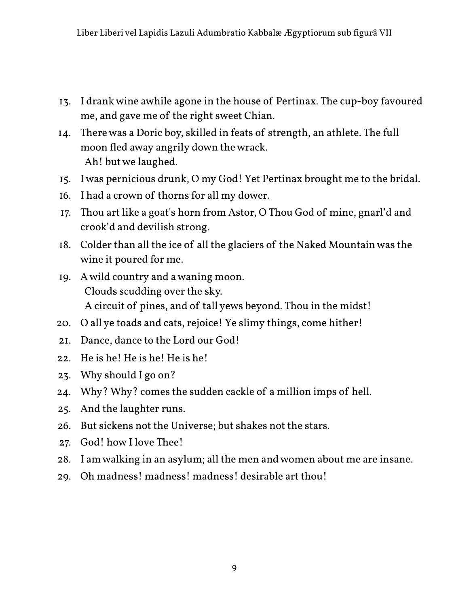- 13. I drank wine awhile agone in the house of Pertinax. The cup-boy favoured me, and gave me of the right sweet Chian.
- 14. There was a Doric boy, skilled in feats of strength, an athlete. The full moon fled away angrily down the wrack. Ah! but we laughed.
- 15. I was pernicious drunk, O my God! Yet Pertinax brought me to the bridal.
- 16. I had a crown of thorns for all my dower.
- 17. Thou art like a goat's horn from Astor, O Thou God of mine, gnarl'd and crook'd and devilish strong.
- 18. Colder than all the ice of all the glaciers of the Naked Mountain was the wine it poured for me.
- A circuit of pines, and of tall yews beyond. Thou in the midst! 19. A wild country and a waning moon. Clouds scudding over the sky.
- 20. O all ye toads and cats, rejoice! Ye slimy things, come hither!
- 21. Dance, dance to the Lord our God!
- 22. He is he! He is he! He is he!
- 23. Why should I go on?
- 24. Why? Why? comes the sudden cackle of a million imps of hell.
- 25. And the laughter runs.
- 26. But sickens not the Universe; but shakes not the stars.
- 27. God! how I love Thee!
- 28. I am walking in an asylum; all the men and women about me are insane.
- 29. Oh madness! madness! madness! desirable art thou!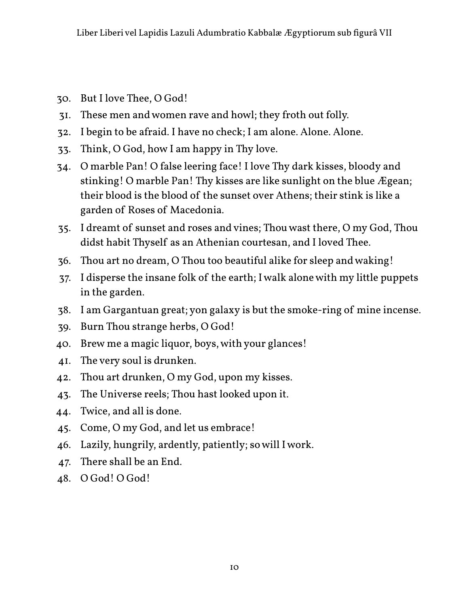- 30. But I love Thee, O God!
- 31. These men and women rave and howl; they froth out folly.
- 32. I begin to be afraid. I have no check; I am alone. Alone. Alone.
- 33. Think, O God, how I am happy in Thy love.
- 34. O marble Pan! O false leering face! I love Thy dark kisses, bloody and stinking! O marble Pan! Thy kisses are like sunlight on the blue Ægean; their blood is the blood of the sunset over Athens; their stink is like a garden of Roses of Macedonia.
- 35. I dreamt of sunset and roses and vines; Thou wast there, O my God, Thou didst habit Thyself as an Athenian courtesan, and I loved Thee.
- 36. Thou art no dream, O Thou too beautiful alike for sleep and waking!
- 37. I disperse the insane folk of the earth; I walk alone with my little puppets in the garden.
- 38. I am Gargantuan great; yon galaxy is but the smoke-ring of mine incense.
- 39. Burn Thou strange herbs, O God!
- 40. Brew me a magic liquor, boys, with your glances!
- 41. The very soul is drunken.
- 42. Thou art drunken, O my God, upon my kisses.
- 43. The Universe reels; Thou hast looked upon it.
- 44. Twice, and all is done.
- 45. Come, O my God, and let us embrace!
- 46. Lazily, hungrily, ardently, patiently; so will I work.
- 47. There shall be an End.
- 48. O God! O God!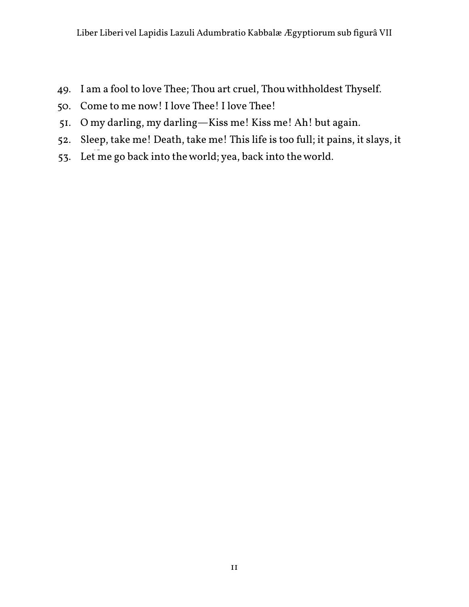- 49. I am a fool to love Thee; Thou art cruel, Thou withholdest Thyself.
- 50. Come to me now! I love Thee! I love Thee!
- 51. O my darling, my darling—Kiss me! Kiss me! Ah! but again.
- 52. Sleep, take me! Death, take me! This life is too full; it pains, it slays, it
- 53. Let me go back into the world; yea, back into the world.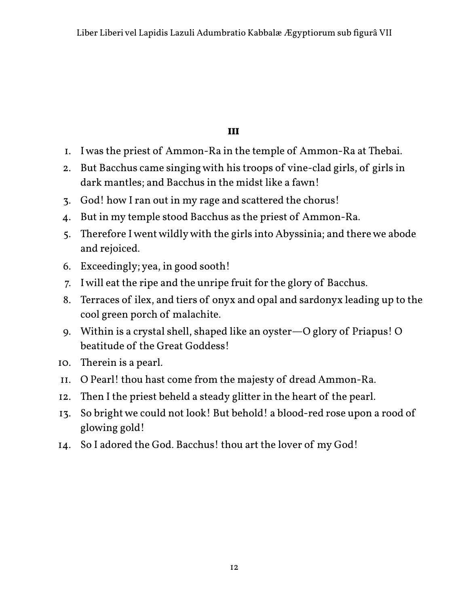#### **III**

- 1. I was the priest of Ammon-Ra in the temple of Ammon-Ra at Thebai.
- 2. But Bacchus came singing with his troops of vine-clad girls, of girls in dark mantles; and Bacchus in the midst like a fawn!
- 3. God! how I ran out in my rage and scattered the chorus!
- 4. But in my temple stood Bacchus as the priest of Ammon-Ra.
- 5. Therefore I went wildly with the girls into Abyssinia; and there we abode and rejoiced.
- 6. Exceedingly; yea, in good sooth!
- 7. I will eat the ripe and the unripe fruit for the glory of Bacchus.
- 8. Terraces of ilex, and tiers of onyx and opal and sardonyx leading up to the cool green porch of malachite.
- 9. Within is a crystal shell, shaped like an oyster—O glory of Priapus! O beatitude of the Great Goddess!
- 10. Therein is a pearl.
- 11. O Pearl! thou hast come from the majesty of dread Ammon-Ra.
- 12. Then I the priest beheld a steady glitter in the heart of the pearl.
- 13. So bright we could not look! But behold! a blood-red rose upon a rood of glowing gold!
- 14. So I adored the God. Bacchus! thou art the lover of my God!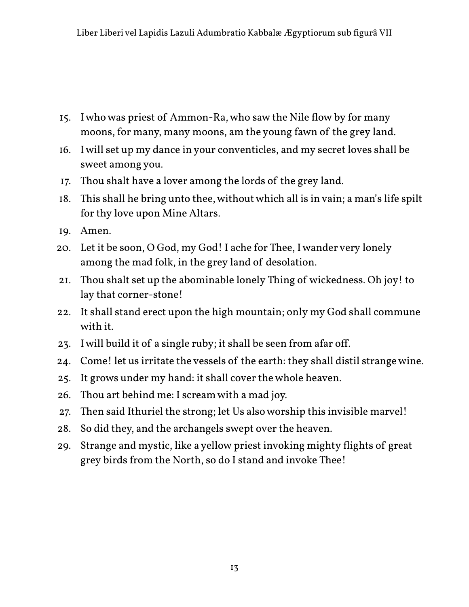- 15. I who was priest of Ammon-Ra, who saw the Nile flow by for many moons, for many, many moons, am the young fawn of the grey land.
- 16. I will set up my dance in your conventicles, and my secret loves shall be sweet among you.
- 17. Thou shalt have a lover among the lords of the grey land.
- 18. This shall he bring unto thee, without which all is in vain; a man's life spilt for thy love upon Mine Altars.
- 19. Amen.
- 20. Let it be soon, O God, my God! I ache for Thee, I wander very lonely among the mad folk, in the grey land of desolation.
- 21. Thou shalt set up the abominable lonely Thing of wickedness. Oh joy! to lay that corner-stone!
- 22. It shall stand erect upon the high mountain; only my God shall commune with it.
- 23. I will build it of a single ruby; it shall be seen from afar off.
- 24. Come! let us irritate the vessels of the earth: they shall distil strange wine.
- 25. It grows under my hand: it shall cover the whole heaven.
- 26. Thou art behind me: I scream with a mad joy.
- 27. Then said Ithuriel the strong; let Us also worship this invisible marvel!
- 28. So did they, and the archangels swept over the heaven.
- 29. Strange and mystic, like a yellow priest invoking mighty flights of great grey birds from the North, so do I stand and invoke Thee!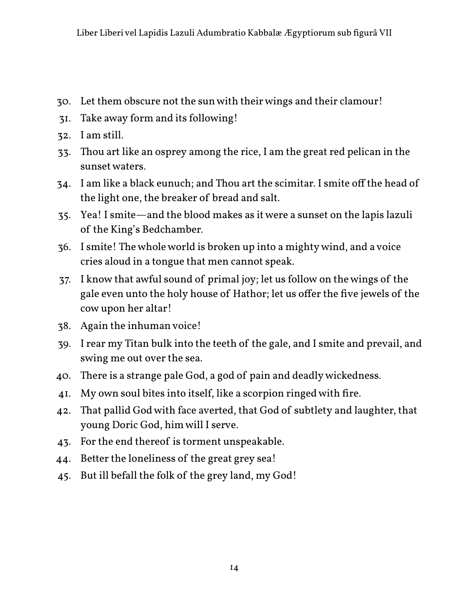- 30. Let them obscure not the sun with their wings and their clamour!
- 31. Take away form and its following!
- 32. I am still.
- 33. Thou art like an osprey among the rice, I am the great red pelican in the sunset waters.
- 34. I am like a black eunuch; and Thou art the scimitar. I smite off the head of the light one, the breaker of bread and salt.
- 35. Yea! I smite—and the blood makes as it were a sunset on the lapis lazuli of the King's Bedchamber.
- 36. I smite! The whole world is broken up into a mighty wind, and a voice cries aloud in a tongue that men cannot speak.
- 37. I know that awful sound of primal joy; let us follow on the wings of the gale even unto the holy house of Hathor; let us offer the five jewels of the cow upon her altar!
- 38. Again the inhuman voice!
- 39. I rear my Titan bulk into the teeth of the gale, and I smite and prevail, and swing me out over the sea.
- 40. There is a strange pale God, a god of pain and deadly wickedness.
- 41. My own soul bites into itself, like a scorpion ringed with fire.
- 42. That pallid God with face averted, that God of subtlety and laughter, that young Doric God, him will I serve.
- 43. For the end thereof is torment unspeakable.
- 44. Better the loneliness of the great grey sea!
- 45. But ill befall the folk of the grey land, my God!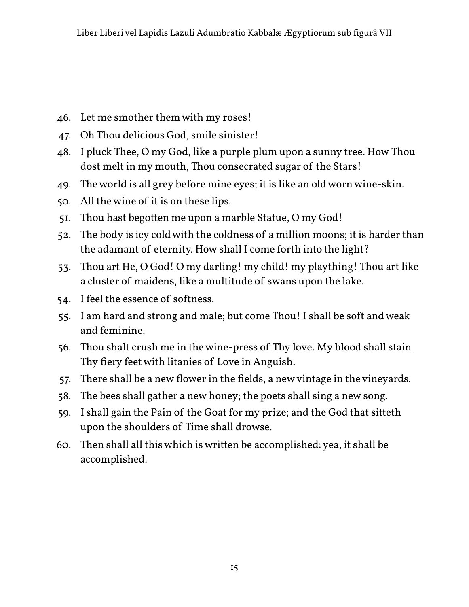- 46. Let me smother them with my roses!
- 47. Oh Thou delicious God, smile sinister!
- 48. I pluck Thee, O my God, like a purple plum upon a sunny tree. How Thou dost melt in my mouth, Thou consecrated sugar of the Stars!
- 49. The world is all grey before mine eyes; it is like an old worn wine-skin.
- 50. All the wine of it is on these lips.
- 51. Thou hast begotten me upon a marble Statue, O my God!
- 52. The body is icy cold with the coldness of a million moons; it is harder than the adamant of eternity. How shall I come forth into the light?
- 53. Thou art He, O God! O my darling! my child! my plaything! Thou art like a cluster of maidens, like a multitude of swans upon the lake.
- 54. I feel the essence of softness.
- 55. I am hard and strong and male; but come Thou! I shall be soft and weak and feminine.
- 56. Thou shalt crush me in the wine-press of Thy love. My blood shall stain Thy fiery feet with litanies of Love in Anguish.
- 57. There shall be a new flower in the fields, a new vintage in the vineyards.
- 58. The bees shall gather a new honey; the poets shall sing a new song.
- 59. I shall gain the Pain of the Goat for my prize; and the God that sitteth upon the shoulders of Time shall drowse.
- 60. Then shall all this which is written be accomplished: yea, it shall be accomplished.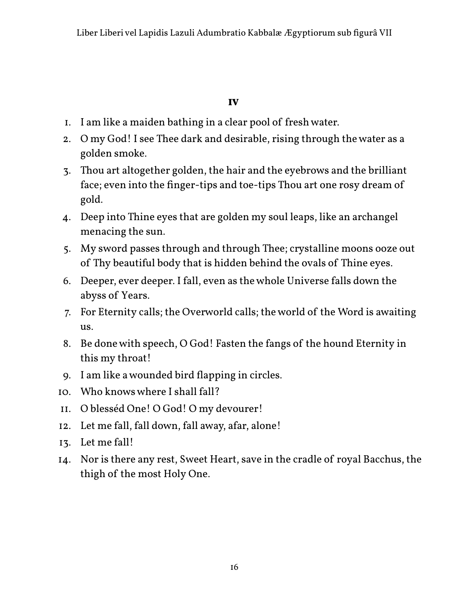#### **IV**

- 1. I am like a maiden bathing in a clear pool of fresh water.
- 2. O my God! I see Thee dark and desirable, rising through the water as a golden smoke.
- 3. Thou art altogether golden, the hair and the eyebrows and the brilliant face; even into the finger-tips and toe-tips Thou art one rosy dream of gold.
- 4. Deep into Thine eyes that are golden my soul leaps, like an archangel menacing the sun.
- 5. My sword passes through and through Thee; crystalline moons ooze out of Thy beautiful body that is hidden behind the ovals of Thine eyes.
- 6. Deeper, ever deeper. I fall, even as the whole Universe falls down the abyss of Years.
- 7. For Eternity calls; the Overworld calls; the world of the Word is awaiting us.
- 8. Be done with speech, O God! Fasten the fangs of the hound Eternity in this my throat!
- 9. I am like a wounded bird flapping in circles.
- 10. Who knows where I shall fall?
- 11. O blesséd One! O God! O my devourer!
- 12. Let me fall, fall down, fall away, afar, alone!
- 13. Let me fall!
- 14. Nor is there any rest, Sweet Heart, save in the cradle of royal Bacchus, the thigh of the most Holy One.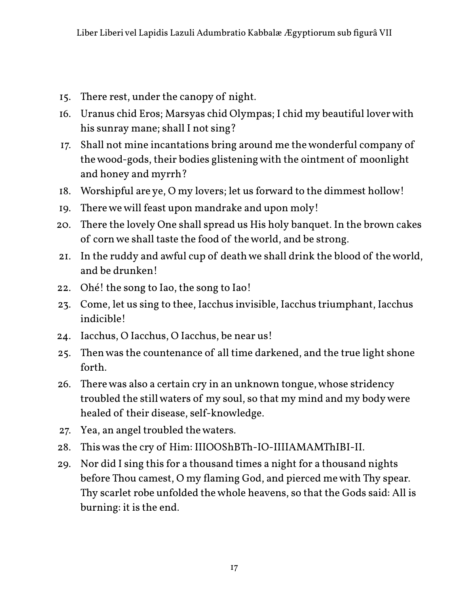- 15. There rest, under the canopy of night.
- 16. Uranus chid Eros; Marsyas chid Olympas; I chid my beautiful lover with his sunray mane; shall I not sing?
- 17. Shall not mine incantations bring around me the wonderful company of the wood-gods, their bodies glistening with the ointment of moonlight and honey and myrrh?
- 18. Worshipful are ye, O my lovers; let us forward to the dimmest hollow!
- 19. There we will feast upon mandrake and upon moly!
- 20. There the lovely One shall spread us His holy banquet. In the brown cakes of corn we shall taste the food of the world, and be strong.
- 21. In the ruddy and awful cup of death we shall drink the blood of the world, and be drunken!
- 22. Ohé! the song to Iao, the song to Iao!
- 23. Come, let us sing to thee, Iacchus invisible, Iacchus triumphant, Iacchus indicible!
- 24. Iacchus, O Iacchus, O Iacchus, be near us!
- 25. Then was the countenance of all time darkened, and the true light shone forth.
- 26. There was also a certain cry in an unknown tongue, whose stridency troubled the still waters of my soul, so that my mind and my body were healed of their disease, self-knowledge.
- 27. Yea, an angel troubled the waters.
- 28. This was the cry of Him: IIIOOShBTh-IO-IIIIAMAMThIBI-II.
- 29. Nor did I sing this for a thousand times a night for a thousand nights before Thou camest, O my flaming God, and pierced me with Thy spear. Thy scarlet robe unfolded the whole heavens, so that the Gods said: All is burning: it is the end.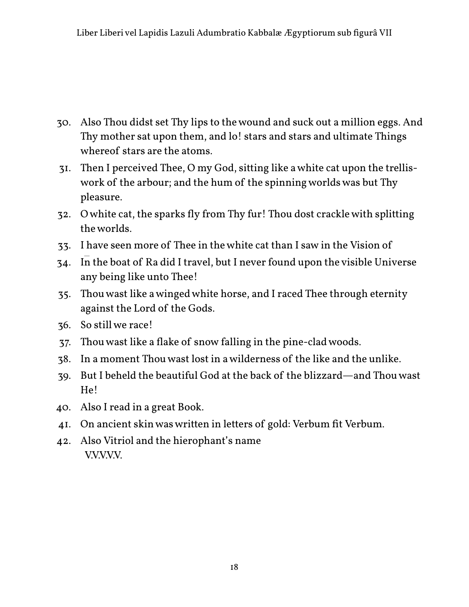- 30. Also Thou didst set Thy lips to the wound and suck out a million eggs. And Thy mother sat upon them, and lo! stars and stars and ultimate Things whereof stars are the atoms.
- 31. Then I perceived Thee, O my God, sitting like a white cat upon the trelliswork of the arbour; and the hum of the spinning worlds was but Thy pleasure.
- 32. O white cat, the sparks fly from Thy fur! Thou dost crackle with splitting the worlds.
- 33. I have seen more of Thee in the white cat than I saw in the Vision of
- 34. In the boat of Ra did I travel, but I never found upon the visible Universe any being like unto Thee!
- 35. Thou wast like a winged white horse, and I raced Thee through eternity against the Lord of the Gods.
- 36. So still we race!
- 37. Thou wast like a flake of snow falling in the pine-clad woods.
- 38. In a moment Thou wast lost in a wilderness of the like and the unlike.
- 39. But I beheld the beautiful God at the back of the blizzard—and Thou wast He!
- 40. Also I read in a great Book.
- 41. On ancient skin was written in letters of gold: Verbum fit Verbum.
- 42. Also Vitriol and the hierophant's name V.V.V.V.V.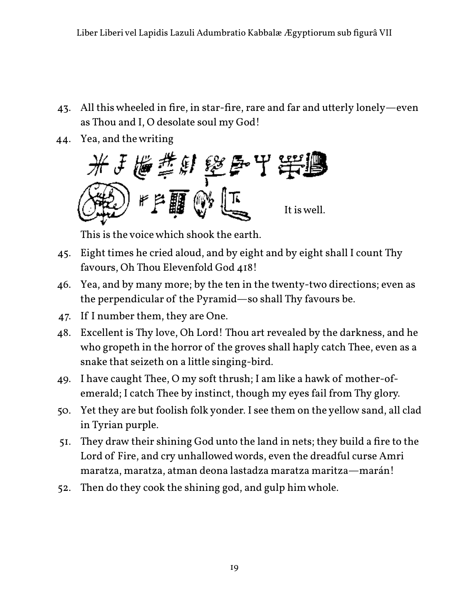- 43. All this wheeled in fire, in star-fire, rare and far and utterly lonely—even as Thou and I, O desolate soul my God!
- 44. Yea, and the writing



This is the voice which shook the earth.

- 45. Eight times he cried aloud, and by eight and by eight shall I count Thy favours, Oh Thou Elevenfold God 418!
- 46. Yea, and by many more; by the ten in the twenty-two directions; even as the perpendicular of the Pyramid—so shall Thy favours be.
- 47. If I number them, they are One.
- 48. Excellent is Thy love, Oh Lord! Thou art revealed by the darkness, and he who gropeth in the horror of the groves shall haply catch Thee, even as a snake that seizeth on a little singing-bird.
- 49. I have caught Thee, O my soft thrush; I am like a hawk of mother-ofemerald; I catch Thee by instinct, though my eyes fail from Thy glory.
- 50. Yet they are but foolish folk yonder. I see them on the yellow sand, all clad in Tyrian purple.
- 51. They draw their shining God unto the land in nets; they build a fire to the Lord of Fire, and cry unhallowed words, even the dreadful curse Amri maratza, maratza, atman deona lastadza maratza maritza—marán!
- 52. Then do they cook the shining god, and gulp him whole.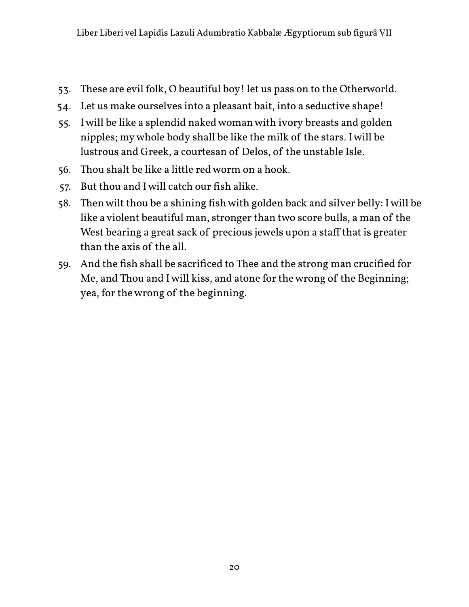- 53. These are evil folk, O beautiful boy! let us pass on to the Otherworld.
- 54. Let us make ourselves into a pleasant bait, into a seductive shape!
- 55. I will be like a splendid naked woman with ivory breasts and golden nipples; my whole body shall be like the milk of the stars. I will be lustrous and Greek, a courtesan of Delos, of the unstable Isle.
- 56. Thou shalt be like a little red worm on a hook.
- 57. But thou and I will catch our fish alike.
- 58. Then wilt thou be a shining fish with golden back and silver belly: I will be like a violent beautiful man, stronger than two score bulls, a man of the West bearing a great sack of precious jewels upon a staff that is greater than the axis of the all.
- 59. And the fish shall be sacrificed to Thee and the strong man crucified for Me, and Thou and I will kiss, and atone for the wrong of the Beginning; yea, for the wrong of the beginning.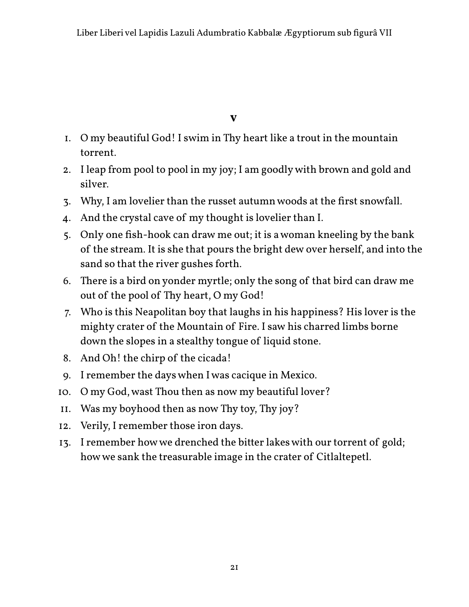**V**

- 1. O my beautiful God! I swim in Thy heart like a trout in the mountain torrent.
- 2. I leap from pool to pool in my joy; I am goodly with brown and gold and silver.
- 3. Why, I am lovelier than the russet autumn woods at the first snowfall.
- 4. And the crystal cave of my thought is lovelier than I.
- 5. Only one fish-hook can draw me out; it is a woman kneeling by the bank of the stream. It is she that pours the bright dew over herself, and into the sand so that the river gushes forth.
- 6. There is a bird on yonder myrtle; only the song of that bird can draw me out of the pool of Thy heart, O my God!
- 7. Who is this Neapolitan boy that laughs in his happiness? His lover is the mighty crater of the Mountain of Fire. I saw his charred limbs borne down the slopes in a stealthy tongue of liquid stone.
- 8. And Oh! the chirp of the cicada!
- 9. I remember the days when I was cacique in Mexico.
- 10. O my God, wast Thou then as now my beautiful lover?
- 11. Was my boyhood then as now Thy toy, Thy joy?
- 12. Verily, I remember those iron days.
- 13. I remember how we drenched the bitter lakes with our torrent of gold; how we sank the treasurable image in the crater of Citlaltepetl.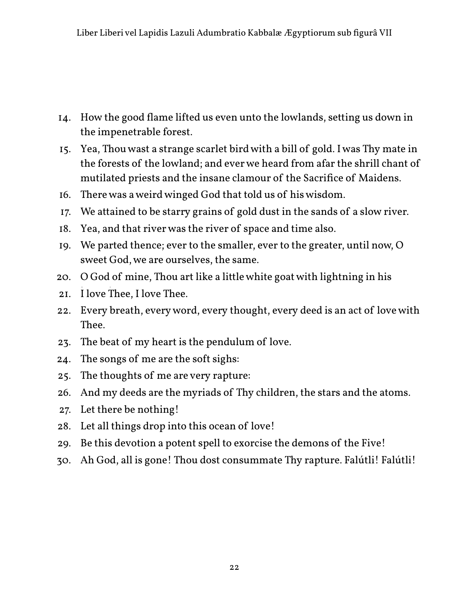- 14. How the good flame lifted us even unto the lowlands, setting us down in the impenetrable forest.
- 15. Yea, Thou wast a strange scarlet bird with a bill of gold. I was Thy mate in the forests of the lowland; and ever we heard from afar the shrill chant of mutilated priests and the insane clamour of the Sacrifice of Maidens.
- 16. There was a weird winged God that told us of his wisdom.
- 17. We attained to be starry grains of gold dust in the sands of a slow river.
- 18. Yea, and that river was the river of space and time also.
- 19. We parted thence; ever to the smaller, ever to the greater, until now, O sweet God, we are ourselves, the same.
- 20. O God of mine, Thou art like a little white goat with lightning in his
- 21. I love Thee, I love Thee.
- 22. Every breath, every word, every thought, every deed is an act of love with Thee.
- 23. The beat of my heart is the pendulum of love.
- 24. The songs of me are the soft sighs:
- 25. The thoughts of me are very rapture:
- 26. And my deeds are the myriads of Thy children, the stars and the atoms.
- 27. Let there be nothing!
- 28. Let all things drop into this ocean of love!
- 29. Be this devotion a potent spell to exorcise the demons of the Five!
- 30. Ah God, all is gone! Thou dost consummate Thy rapture. Falútli! Falútli!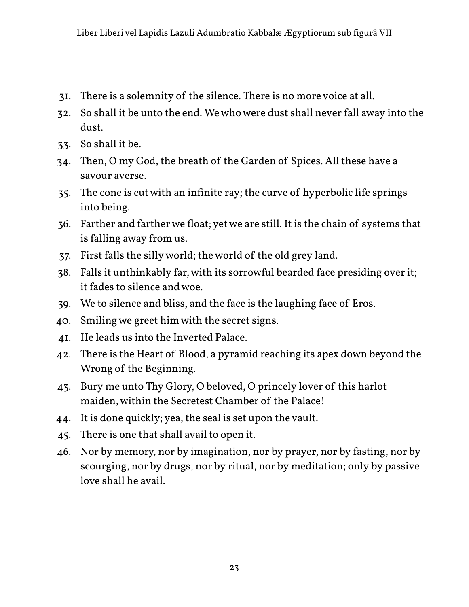- 31. There is a solemnity of the silence. There is no more voice at all.
- 32. So shall it be unto the end. We who were dust shall never fall away into the dust.
- 33. So shall it be.
- 34. Then, O my God, the breath of the Garden of Spices. All these have a savour averse.
- 35. The cone is cut with an infinite ray; the curve of hyperbolic life springs into being.
- 36. Farther and farther we float; yet we are still. It is the chain of systems that is falling away from us.
- 37. First falls the silly world; the world of the old grey land.
- 38. Falls it unthinkably far, with its sorrowful bearded face presiding over it; it fades to silence and woe.
- 39. We to silence and bliss, and the face is the laughing face of Eros.
- 40. Smiling we greet him with the secret signs.
- 41. He leads us into the Inverted Palace.
- 42. There is the Heart of Blood, a pyramid reaching its apex down beyond the Wrong of the Beginning.
- 43. Bury me unto Thy Glory, O beloved, O princely lover of this harlot maiden, within the Secretest Chamber of the Palace!
- 44. It is done quickly; yea, the seal is set upon the vault.
- 45. There is one that shall avail to open it.
- 46. Nor by memory, nor by imagination, nor by prayer, nor by fasting, nor by scourging, nor by drugs, nor by ritual, nor by meditation; only by passive love shall he avail.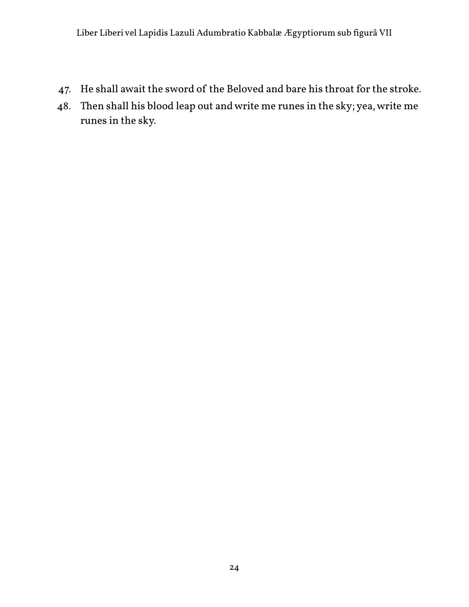- 47. He shall await the sword of the Beloved and bare his throat for the stroke.
- 48. Then shall his blood leap out and write me runes in the sky; yea, write me runes in the sky.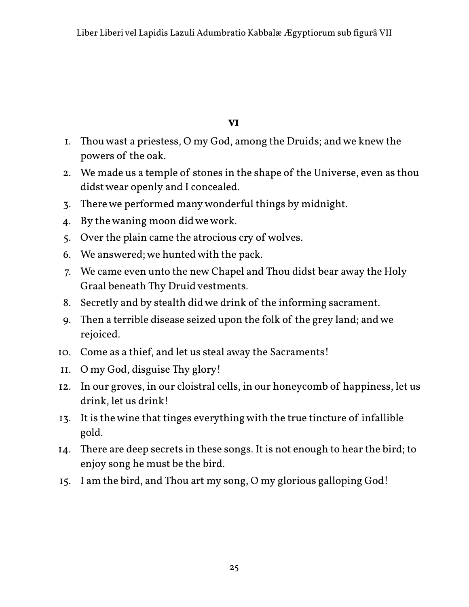**VI**

- 1. Thou wast a priestess, O my God, among the Druids; and we knew the powers of the oak.
- 2. We made us a temple of stones in the shape of the Universe, even as thou didst wear openly and I concealed.
- 3. There we performed many wonderful things by midnight.
- 4. By the waning moon did we work.
- 5. Over the plain came the atrocious cry of wolves.
- 6. We answered; we hunted with the pack.
- 7. We came even unto the new Chapel and Thou didst bear away the Holy Graal beneath Thy Druid vestments.
- 8. Secretly and by stealth did we drink of the informing sacrament.
- 9. Then a terrible disease seized upon the folk of the grey land; and we rejoiced.
- 10. Come as a thief, and let us steal away the Sacraments!
- 11. O my God, disguise Thy glory!
- 12. In our groves, in our cloistral cells, in our honeycomb of happiness, let us drink, let us drink!
- 13. It is the wine that tinges everything with the true tincture of infallible gold.
- 14. There are deep secrets in these songs. It is not enough to hear the bird; to enjoy song he must be the bird.
- 15. I am the bird, and Thou art my song, O my glorious galloping God!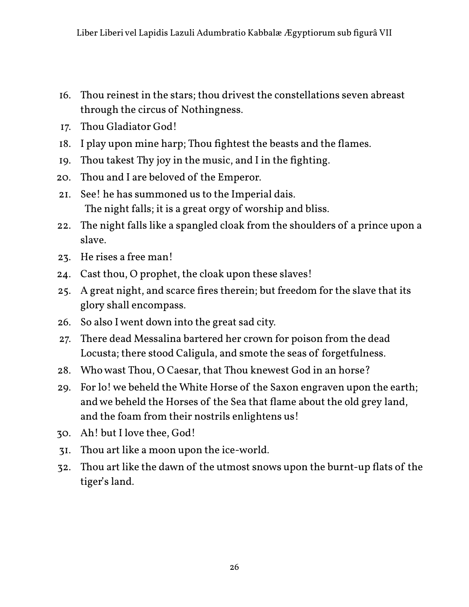- 16. Thou reinest in the stars; thou drivest the constellations seven abreast through the circus of Nothingness.
- 17. Thou Gladiator God!
- 18. I play upon mine harp; Thou fightest the beasts and the flames.
- 19. Thou takest Thy joy in the music, and I in the fighting.
- 20. Thou and I are beloved of the Emperor.
- 21. See! he has summoned us to the Imperial dais. The night falls; it is a great orgy of worship and bliss.
- 22. The night falls like a spangled cloak from the shoulders of a prince upon a slave.
- 23. He rises a free man!
- 24. Cast thou, O prophet, the cloak upon these slaves!
- 25. A great night, and scarce fires therein; but freedom for the slave that its glory shall encompass.
- 26. So also I went down into the great sad city.
- 27. There dead Messalina bartered her crown for poison from the dead Locusta; there stood Caligula, and smote the seas of forgetfulness.
- 28. Who wast Thou, O Caesar, that Thou knewest God in an horse?
- 29. For lo! we beheld the White Horse of the Saxon engraven upon the earth; and we beheld the Horses of the Sea that flame about the old grey land, and the foam from their nostrils enlightens us!
- 30. Ah! but I love thee, God!
- 31. Thou art like a moon upon the ice-world.
- 32. Thou art like the dawn of the utmost snows upon the burnt-up flats of the tiger's land.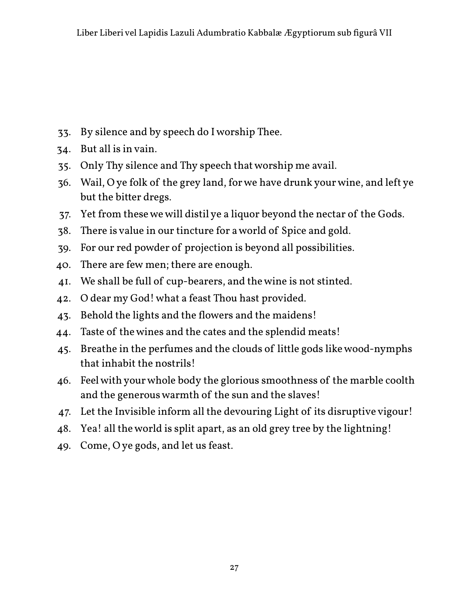- 33. By silence and by speech do I worship Thee.
- 34. But all is in vain.
- 35. Only Thy silence and Thy speech that worship me avail.
- 36. Wail, O ye folk of the grey land, for we have drunk your wine, and left ye but the bitter dregs.
- 37. Yet from these we will distil ye a liquor beyond the nectar of the Gods.
- 38. There is value in our tincture for a world of Spice and gold.
- 39. For our red powder of projection is beyond all possibilities.
- 40. There are few men; there are enough.
- 41. We shall be full of cup-bearers, and the wine is not stinted.
- 42. O dear my God! what a feast Thou hast provided.
- 43. Behold the lights and the flowers and the maidens!
- 44. Taste of the wines and the cates and the splendid meats!
- 45. Breathe in the perfumes and the clouds of little gods like wood-nymphs that inhabit the nostrils!
- 46. Feel with your whole body the glorious smoothness of the marble coolth and the generous warmth of the sun and the slaves!
- 47. Let the Invisible inform all the devouring Light of its disruptive vigour!
- 48. Yea! all the world is split apart, as an old grey tree by the lightning!
- 49. Come, O ye gods, and let us feast.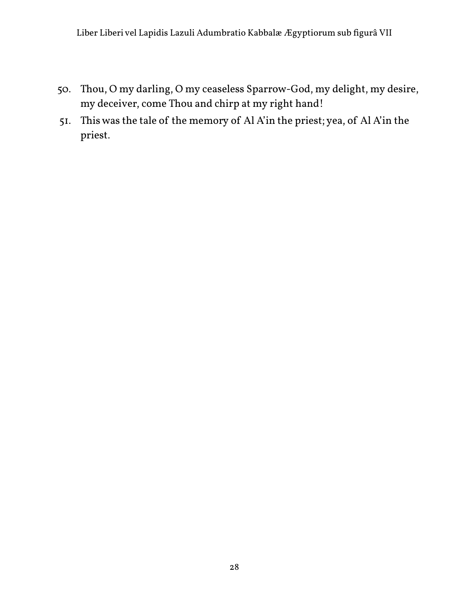- 50. Thou, O my darling, O my ceaseless Sparrow-God, my delight, my desire, my deceiver, come Thou and chirp at my right hand!
- 51. This was the tale of the memory of Al A'in the priest; yea, of Al A'in the priest.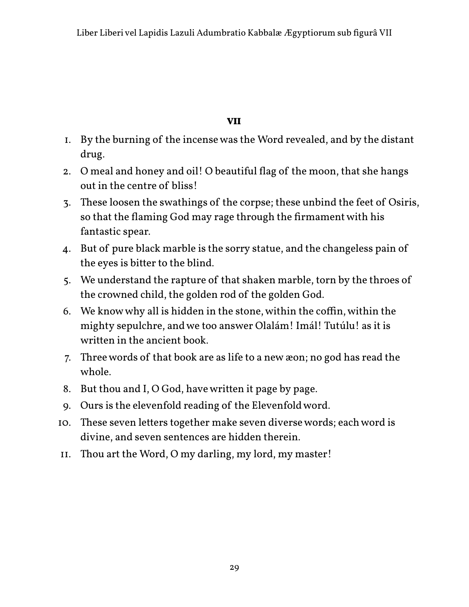#### **VII**

- 1. By the burning of the incense was the Word revealed, and by the distant drug.
- 2. O meal and honey and oil! O beautiful flag of the moon, that she hangs out in the centre of bliss!
- 3. These loosen the swathings of the corpse; these unbind the feet of Osiris, so that the flaming God may rage through the firmament with his fantastic spear.
- 4. But of pure black marble is the sorry statue, and the changeless pain of the eyes is bitter to the blind.
- 5. We understand the rapture of that shaken marble, torn by the throes of the crowned child, the golden rod of the golden God.
- 6. We know why all is hidden in the stone, within the coffin, within the mighty sepulchre, and we too answer Olalám! Imál! Tutúlu! as it is written in the ancient book.
- 7. Three words of that book are as life to a new æon; no god has read the whole.
- 8. But thou and I, O God, have written it page by page.
- 9. Ours is the elevenfold reading of the Elevenfold word.
- 10. These seven letters together make seven diverse words; each word is divine, and seven sentences are hidden therein.
- 11. Thou art the Word, O my darling, my lord, my master!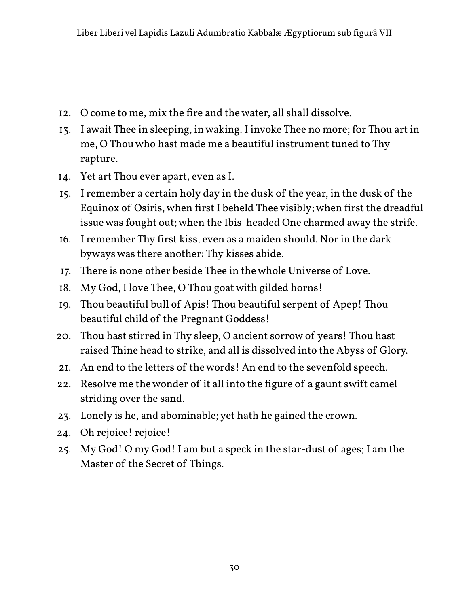- 12. O come to me, mix the fire and the water, all shall dissolve.
- 13. I await Thee in sleeping, in waking. I invoke Thee no more; for Thou art in me, O Thou who hast made me a beautiful instrument tuned to Thy rapture.
- 14. Yet art Thou ever apart, even as I.
- 15. I remember a certain holy day in the dusk of the year, in the dusk of the Equinox of Osiris, when first I beheld Thee visibly; when first the dreadful issue was fought out; when the Ibis-headed One charmed away the strife.
- 16. I remember Thy first kiss, even as a maiden should. Nor in the dark byways was there another: Thy kisses abide.
- 17. There is none other beside Thee in the whole Universe of Love.
- 18. My God, I love Thee, O Thou goat with gilded horns!
- 19. Thou beautiful bull of Apis! Thou beautiful serpent of Apep! Thou beautiful child of the Pregnant Goddess!
- 20. Thou hast stirred in Thy sleep, O ancient sorrow of years! Thou hast raised Thine head to strike, and all is dissolved into the Abyss of Glory.
- 21. An end to the letters of the words! An end to the sevenfold speech.
- 22. Resolve me the wonder of it all into the figure of a gaunt swift camel striding over the sand.
- 23. Lonely is he, and abominable; yet hath he gained the crown.
- 24. Oh rejoice! rejoice!
- 25. My God! O my God! I am but a speck in the star-dust of ages; I am the Master of the Secret of Things.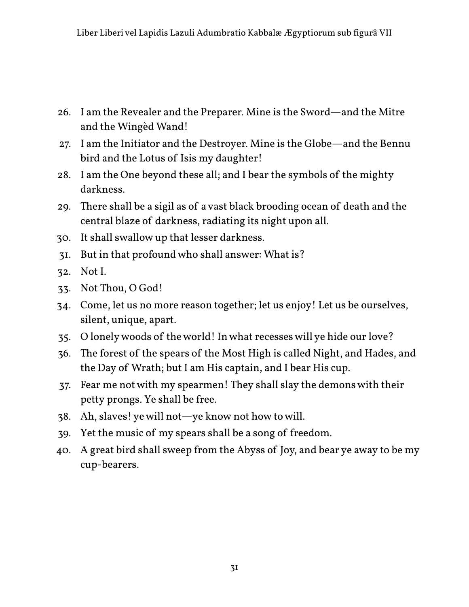- 26. I am the Revealer and the Preparer. Mine is the Sword—and the Mitre and the Wingèd Wand!
- 27. I am the Initiator and the Destroyer. Mine is the Globe—and the Bennu bird and the Lotus of Isis my daughter!
- 28. I am the One beyond these all; and I bear the symbols of the mighty darkness.
- 29. There shall be a sigil as of a vast black brooding ocean of death and the central blaze of darkness, radiating its night upon all.
- 30. It shall swallow up that lesser darkness.
- 31. But in that profound who shall answer: What is?
- 32. Not I.
- 33. Not Thou, O God!
- 34. Come, let us no more reason together; let us enjoy! Let us be ourselves, silent, unique, apart.
- 35. O lonely woods of the world! In what recesses will ye hide our love?
- 36. The forest of the spears of the Most High is called Night, and Hades, and the Day of Wrath; but I am His captain, and I bear His cup.
- 37. Fear me not with my spearmen! They shall slay the demons with their petty prongs. Ye shall be free.
- 38. Ah, slaves! ye will not—ye know not how to will.
- 39. Yet the music of my spears shall be a song of freedom.
- 40. A great bird shall sweep from the Abyss of Joy, and bear ye away to be my cup-bearers.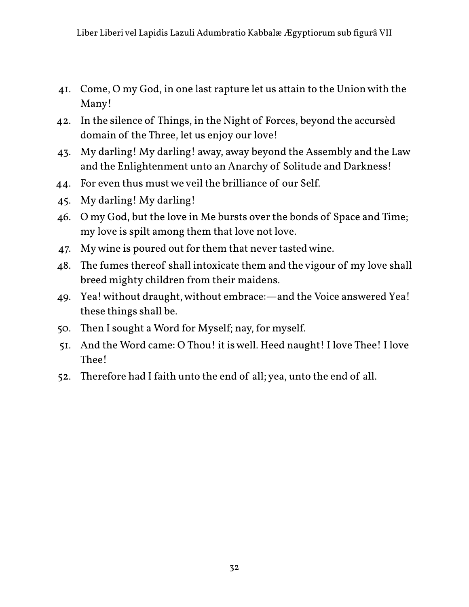- 41. Come, O my God, in one last rapture let us attain to the Union with the Many!
- 42. In the silence of Things, in the Night of Forces, beyond the accursèd domain of the Three, let us enjoy our love!
- 43. My darling! My darling! away, away beyond the Assembly and the Law and the Enlightenment unto an Anarchy of Solitude and Darkness!
- 44. For even thus must we veil the brilliance of our Self.
- 45. My darling! My darling!
- 46. O my God, but the love in Me bursts over the bonds of Space and Time; my love is spilt among them that love not love.
- 47. My wine is poured out for them that never tasted wine.
- 48. The fumes thereof shall intoxicate them and the vigour of my love shall breed mighty children from their maidens.
- 49. Yea! without draught, without embrace:—and the Voice answered Yea! these things shall be.
- 50. Then I sought a Word for Myself; nay, for myself.
- 51. And the Word came: O Thou! it is well. Heed naught! I love Thee! I love Thee!
- 52. Therefore had I faith unto the end of all; yea, unto the end of all.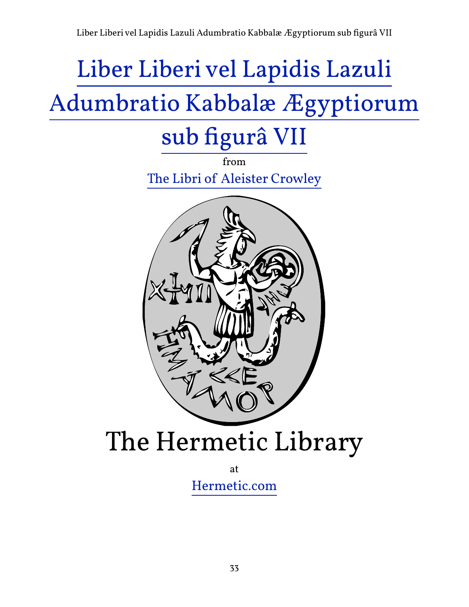# Liber Liberi vel Lapidis Lazuli

### [Adumbratio Kabbalæ Ægyptiorum](http://hermetic.com/crowley/libers/lib7.html)

### sub figurâ VII

from [The Libri of Aleister Crowley](http://hermetic.com/crowley/)



## The Hermetic Library

at [Hermetic.com](http://www.hermetic.com/)